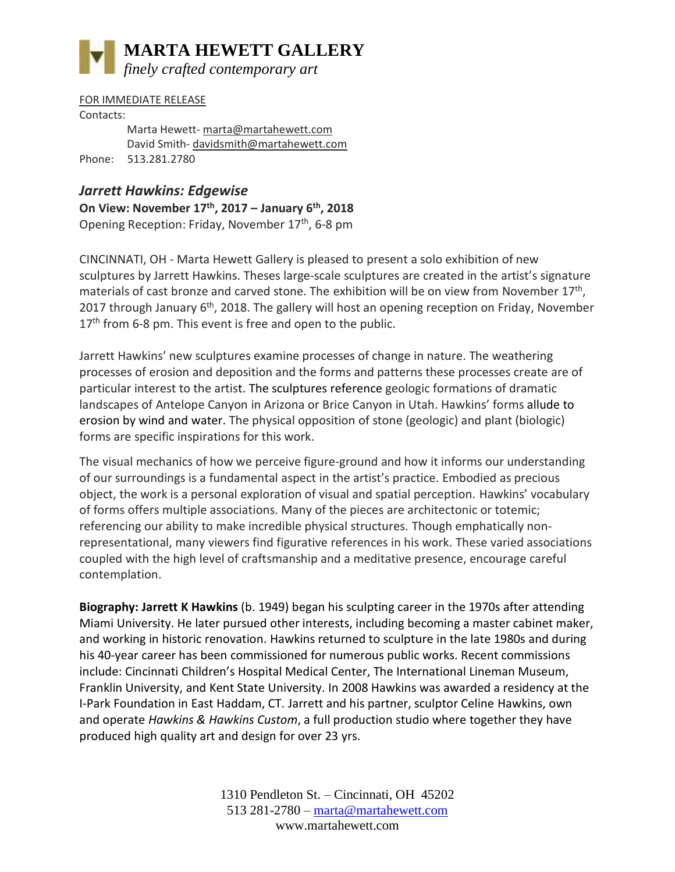

FOR IMMEDIATE RELEASE Contacts: Marta Hewett- [marta@martahewett.com](mailto:marta@martahewett.com)  David Smith- [davidsmith@martahewett.com](mailto:davidsmith@martahewett.com) Phone: 513.281.2780

## *Jarrett Hawkins: Edgewise*

**On View: November 17th, 2017 – January 6th, 2018** Opening Reception: Friday, November 17<sup>th</sup>, 6-8 pm

CINCINNATI, OH - Marta Hewett Gallery is pleased to present a solo exhibition of new sculptures by Jarrett Hawkins. Theses large-scale sculptures are created in the artist's signature materials of cast bronze and carved stone. The exhibition will be on view from November  $17<sup>th</sup>$ , 2017 through January 6<sup>th</sup>, 2018. The gallery will host an opening reception on Friday, November  $17<sup>th</sup>$  from 6-8 pm. This event is free and open to the public.

Jarrett Hawkins' new sculptures examine processes of change in nature. The weathering processes of erosion and deposition and the forms and patterns these processes create are of particular interest to the artist. The sculptures reference geologic formations of dramatic landscapes of Antelope Canyon in Arizona or Brice Canyon in Utah. Hawkins' forms allude to erosion by wind and water. The physical opposition of stone (geologic) and plant (biologic) forms are specific inspirations for this work.

The visual mechanics of how we perceive figure-ground and how it informs our understanding of our surroundings is a fundamental aspect in the artist's practice. Embodied as precious object, the work is a personal exploration of visual and spatial perception. Hawkins' vocabulary of forms offers multiple associations. Many of the pieces are architectonic or totemic; referencing our ability to make incredible physical structures. Though emphatically nonrepresentational, many viewers find figurative references in his work. These varied associations coupled with the high level of craftsmanship and a meditative presence, encourage careful contemplation.

**Biography: Jarrett K Hawkins** (b. 1949) began his sculpting career in the 1970s after attending Miami University. He later pursued other interests, including becoming a master cabinet maker, and working in historic renovation. Hawkins returned to sculpture in the late 1980s and during his 40-year career has been commissioned for numerous public works. Recent commissions include: Cincinnati Children's Hospital Medical Center, The International Lineman Museum, Franklin University, and Kent State University. In 2008 Hawkins was awarded a residency at the I-Park Foundation in East Haddam, CT. Jarrett and his partner, sculptor Celine Hawkins, own and operate *Hawkins & Hawkins Custom*, a full production studio where together they have produced high quality art and design for over 23 yrs.

> 1310 Pendleton St. – Cincinnati, OH 45202 513 281-2780 – [marta@martahewett.com](mailto:marta@martahewett.com) www.martahewett.com